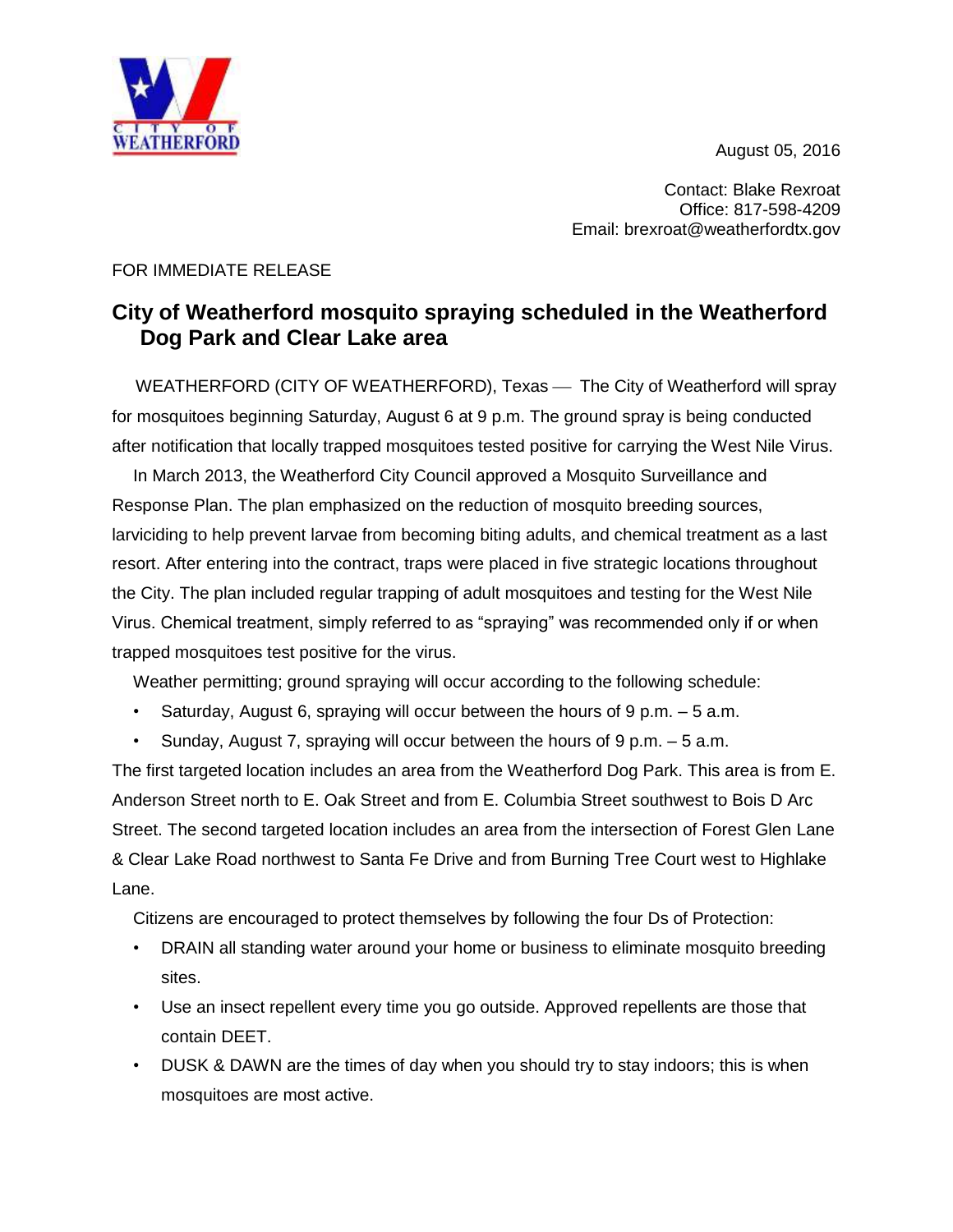August 05, 2016



Contact: Blake Rexroat Office: 817-598-4209 Email: brexroat@weatherfordtx.gov

## FOR IMMEDIATE RELEASE

## **City of Weatherford mosquito spraying scheduled in the Weatherford Dog Park and Clear Lake area**

WEATHERFORD (CITY OF WEATHERFORD), Texas — The City of Weatherford will spray for mosquitoes beginning Saturday, August 6 at 9 p.m. The ground spray is being conducted after notification that locally trapped mosquitoes tested positive for carrying the West Nile Virus.

In March 2013, the Weatherford City Council approved a Mosquito Surveillance and Response Plan. The plan emphasized on the reduction of mosquito breeding sources, larviciding to help prevent larvae from becoming biting adults, and chemical treatment as a last resort. After entering into the contract, traps were placed in five strategic locations throughout the City. The plan included regular trapping of adult mosquitoes and testing for the West Nile Virus. Chemical treatment, simply referred to as "spraying" was recommended only if or when trapped mosquitoes test positive for the virus.

Weather permitting; ground spraying will occur according to the following schedule:

- Saturday, August 6, spraying will occur between the hours of  $9 \text{ p.m.} 5 \text{ a.m.}$
- Sunday, August 7, spraying will occur between the hours of 9 p.m. 5 a.m.

The first targeted location includes an area from the Weatherford Dog Park. This area is from E. Anderson Street north to E. Oak Street and from E. Columbia Street southwest to Bois D Arc Street. The second targeted location includes an area from the intersection of Forest Glen Lane & Clear Lake Road northwest to Santa Fe Drive and from Burning Tree Court west to Highlake Lane.

Citizens are encouraged to protect themselves by following the four Ds of Protection:

- DRAIN all standing water around your home or business to eliminate mosquito breeding sites.
- Use an insect repellent every time you go outside. Approved repellents are those that contain DEET.
- DUSK & DAWN are the times of day when you should try to stay indoors; this is when mosquitoes are most active.